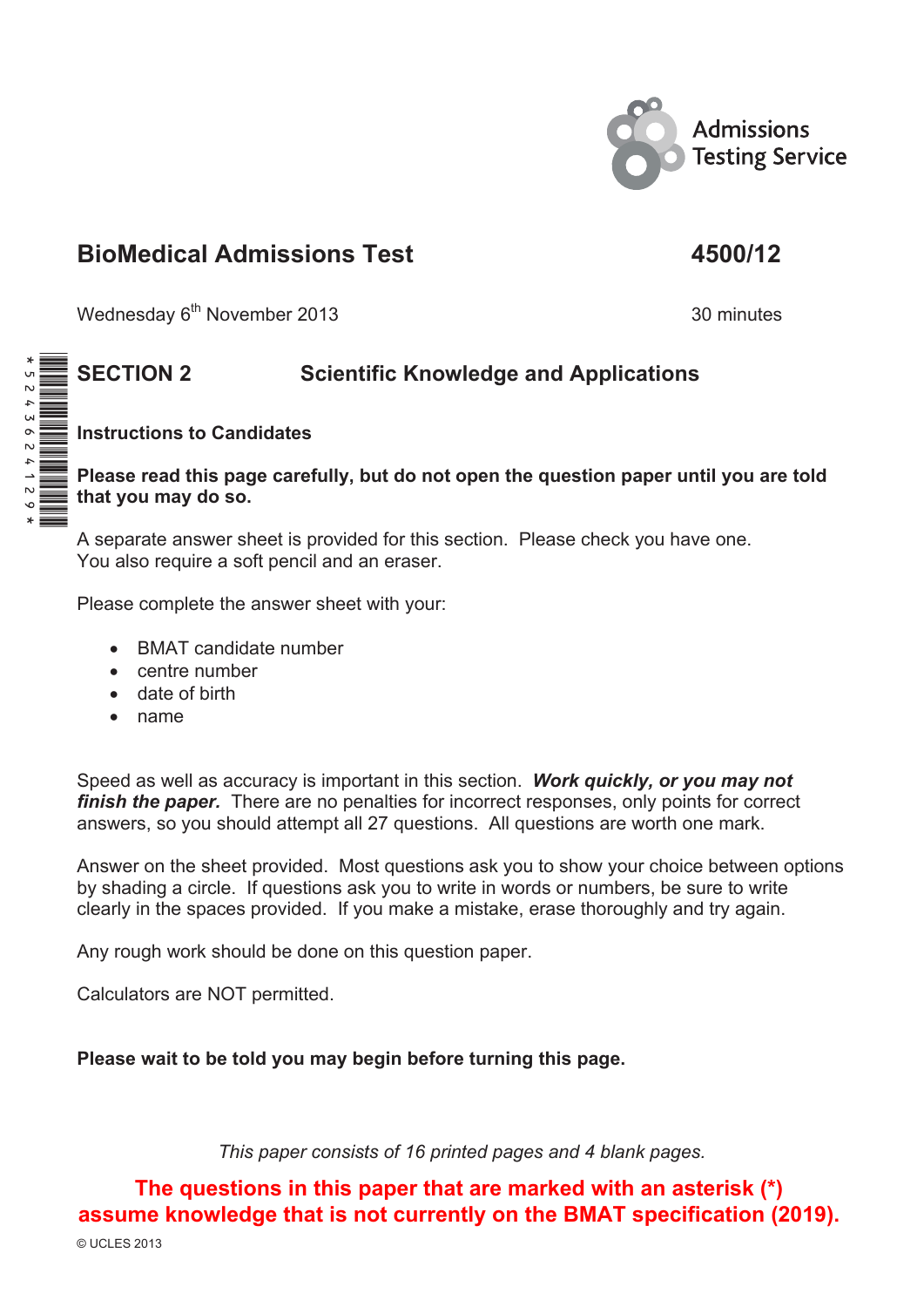

## **BioMedical Admissions Test 4500/12**

Wednesday 6<sup>th</sup> November 2013 30 minutes

## **SECTION 2 Scientific Knowledge and Applications**

**Instructions to Candidates**

**Please read this page carefully, but do not open the question paper until you are told that you may do so.** 

A separate answer sheet is provided for this section. Please check you have one. You also require a soft pencil and an eraser.

Please complete the answer sheet with your:

- BMAT candidate number
- $\bullet$  centre number
- $\bullet$  date of birth
- $\bullet$  name

Speed as well as accuracy is important in this section. *Work quickly, or you may not finish the paper.* There are no penalties for incorrect responses, only points for correct answers, so you should attempt all 27 questions. All questions are worth one mark.

Answer on the sheet provided. Most questions ask you to show your choice between options by shading a circle. If questions ask you to write in words or numbers, be sure to write clearly in the spaces provided. If you make a mistake, erase thoroughly and try again.

Any rough work should be done on this question paper.

Calculators are NOT permitted.

**Please wait to be told you may begin before turning this page.** 

*This paper consists of 16 printed pages and 4 blank pages.* 

**The questions in this paper that are marked with an asterisk (\*) assume knowledge that is not currently on the BMAT specification (2019).**

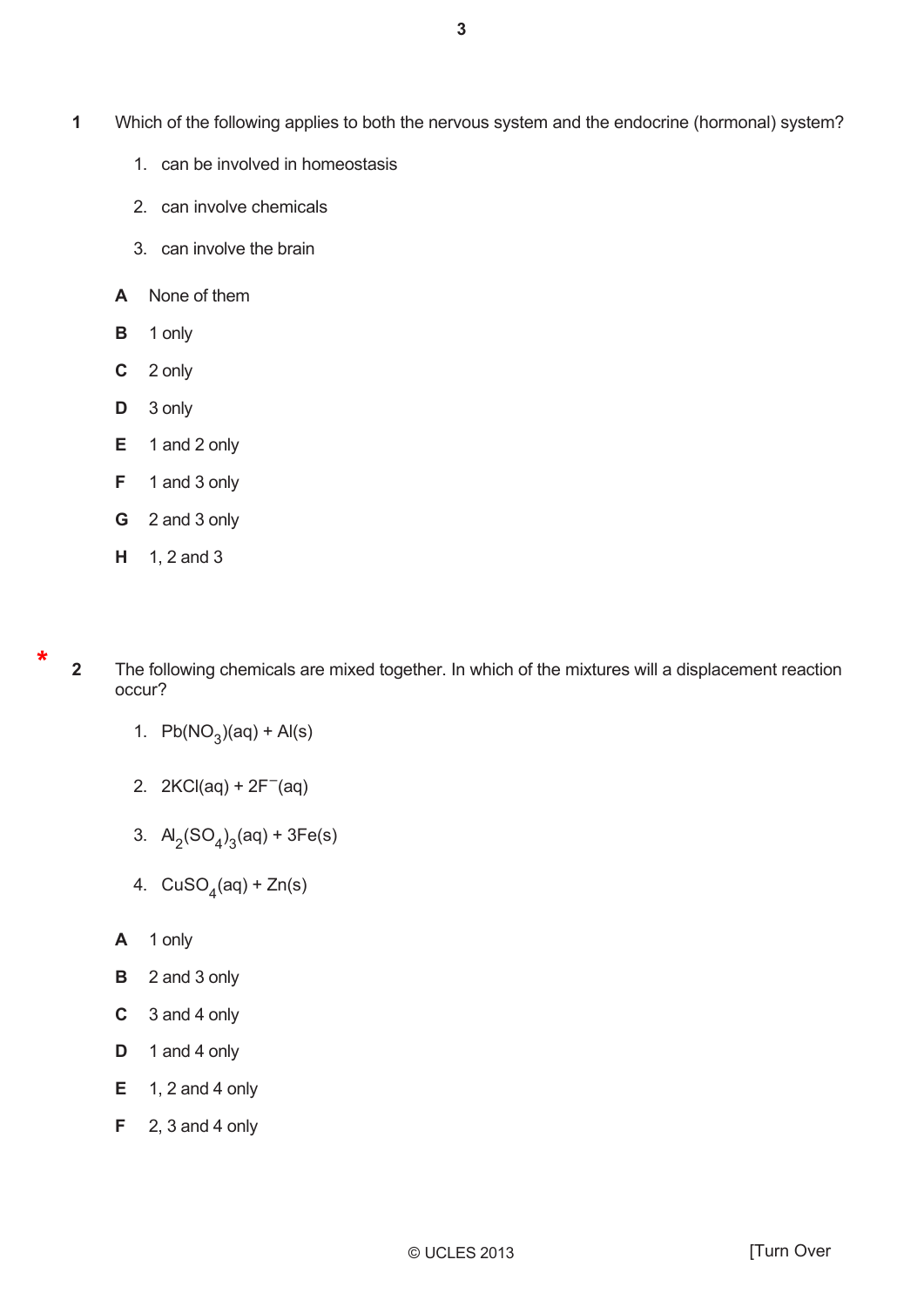- Which of the following applies to both the nervous system and the endocrine (hormonal) system? **1** 
	- 1. can be involved in homeostasis
	- 2. can involve chemicals
	- 3. can involve the brain
	- **A** None of them
	- **B** 1 only
	- **C** 2 only
	- $D \quad 3$  only
	- $E$  1 and 2 only
	- $F = 1$  and 3 only
	- **G** 2 and 3 only
	- $H = 1, 2$  and 3

**2** 

\*

The following chemicals are mixed together. In which of the mixtures will a displacement reaction occur?

- 1.  $Pb(NO_3)(aq) + Al(s)$
- 2.  $2KCl(aq) + 2F^{-}(aq)$
- 3.  $A_2(SO_4)_3(aq) + 3Fe(s)$
- 4.  $CuSO<sub>4</sub>(aq) + Zn(s)$
- **A** 1 only
- $B$  2 and 3 only
- $C \quad 3$  and 4 only
- **D** 1 and 4 only
- $E = 1, 2$  and 4 only
- $F = 2$ , 3 and 4 only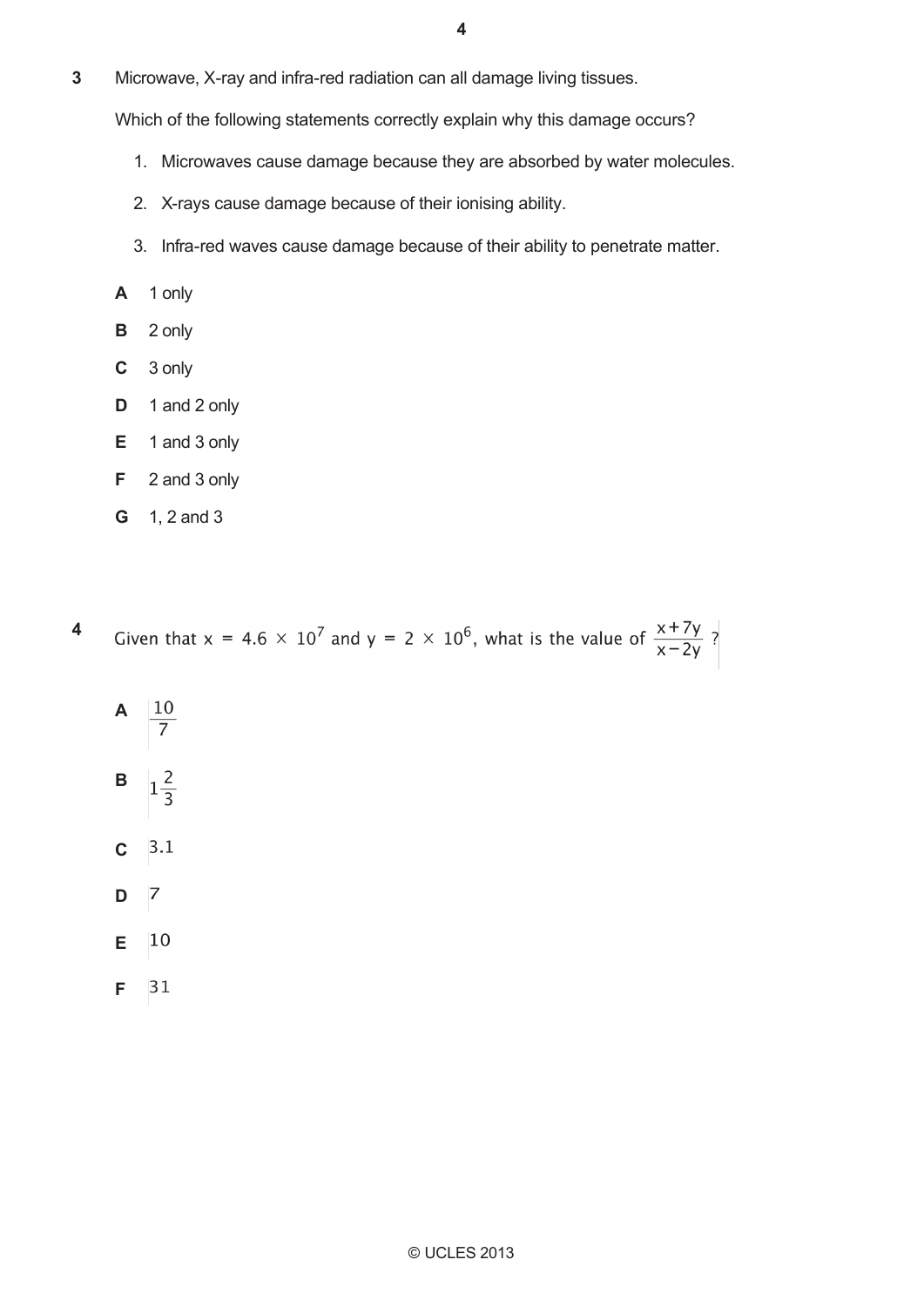**4**

Microwave, X-ray and infra-red radiation can all damage living tissues. **3** 

Which of the following statements correctly explain why this damage occurs?

- 1. Microwaves cause damage because they are absorbed by water molecules.
- 2. X-rays cause damage because of their ionising ability.
- 3. Infra-red waves cause damage because of their ability to penetrate matter.
- $A$  1 only
- $B$  2 only
- $C<sup>3</sup>$  only
- $D \quad 1$  and 2 only
- $E$  1 and 3 only
- $F = 2$  and 3 only
- **G**  $1, 2$  and 3

**4**  Given that x = 4.6  $\times$  10<sup>7</sup> and y = 2  $\times$  10<sup>6</sup>, what is the value of  $\frac{x+7y}{x-2y}$ ?

- **A**  $\frac{10}{7}$
- **B**  $1\frac{2}{3}$
- **C**
- **D**
- **E** 10
- $31$ **F**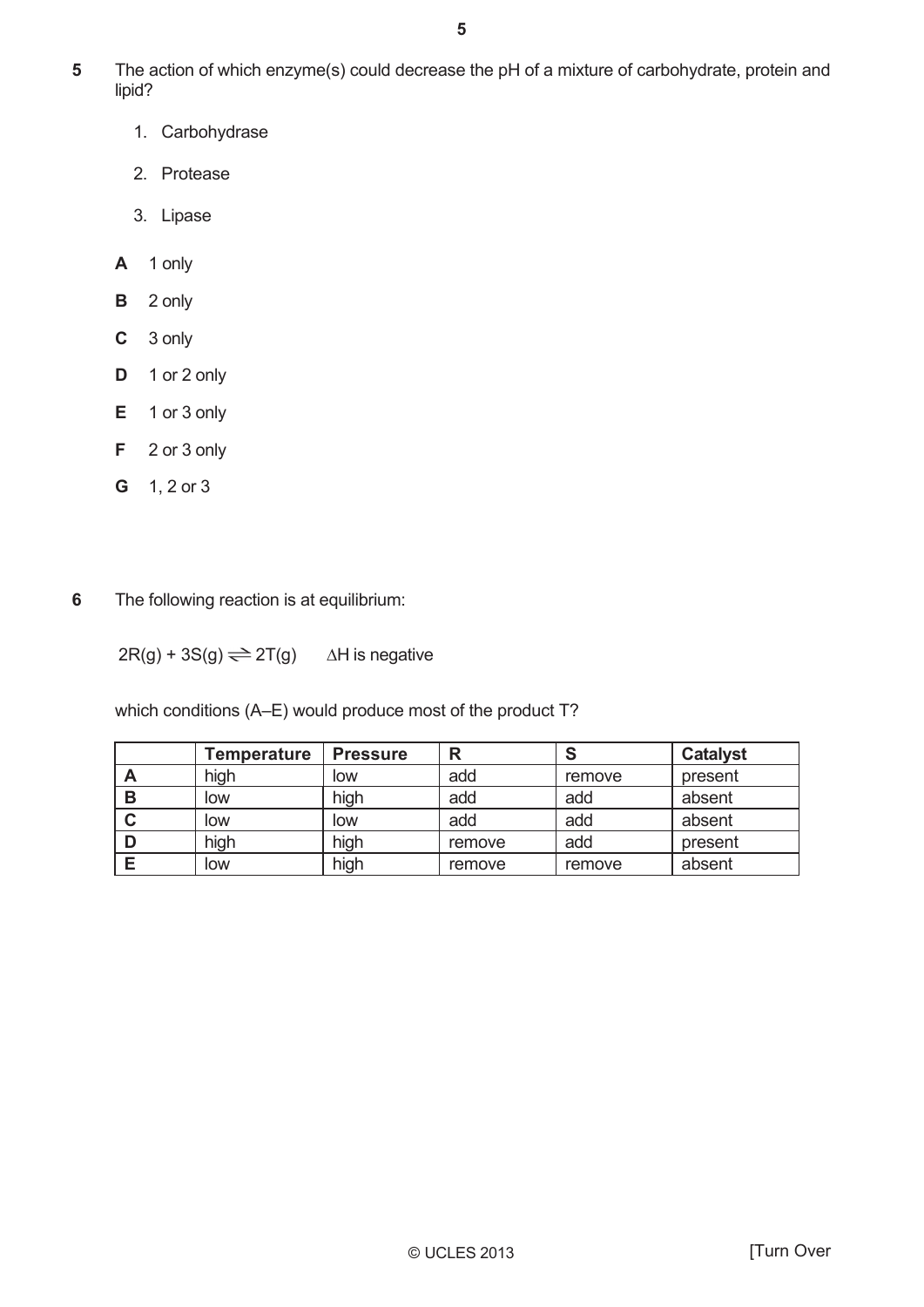- The action of which enzyme(s) could decrease the pH of a mixture of carbohydrate, protein and lipid? **5** 
	- 1. Carbohydrase
	- 2. Protease
	- 3. Lipase
	- $A$  1 only
	- $B$  2 only
	- **C** 3 only
	- $D \t1$  or 2 only
	- $E$  1 or 3 only
	- $F = 2$  or 3 only
	- $G = 1, 2 \text{ or } 3$
- The following reaction is at equilibrium: **6**

 $2R(g) + 3S(g) \rightleftharpoons 2T(g)$   $\Delta H$  is negative

which conditions (A-E) would produce most of the product T?

|   | Temperature | <b>Pressure</b> | R      |        | <b>Catalyst</b> |
|---|-------------|-----------------|--------|--------|-----------------|
| Α | high        | low             | add    | remove | present         |
| B | low         | high            | add    | add    | absent          |
| C | low         | low             | add    | add    | absent          |
|   | high        | high            | remove | add    | present         |
|   | low         | high            | remove | remove | absent          |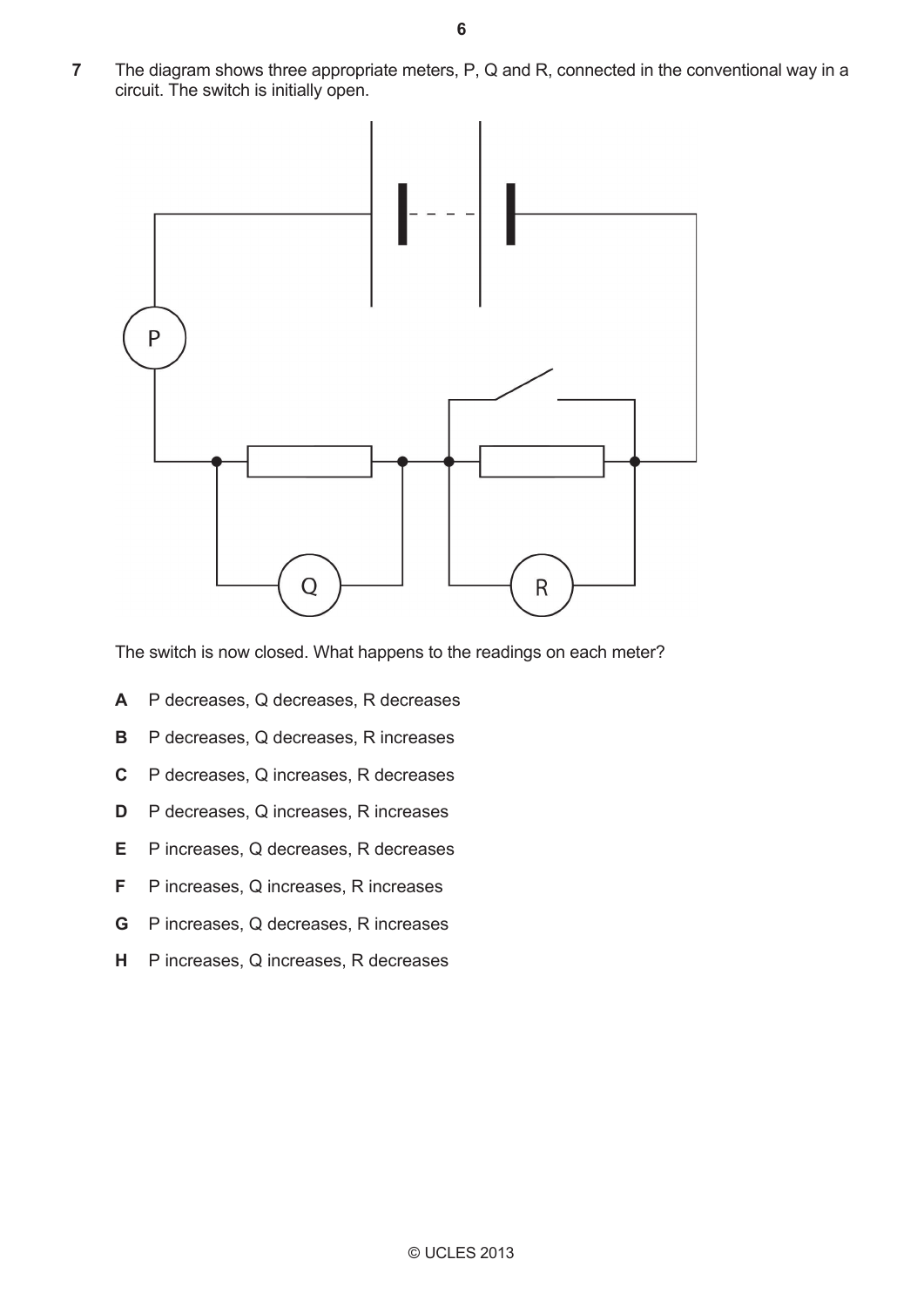The diagram shows three appropriate meters, P, Q and R, connected in the conventional way in a circuit. The switch is initially open. **7** 



The switch is now closed. What happens to the readings on each meter?

- **A** P decreases, Q decreases, R decreases
- **B** P decreases, Q decreases, R increases
- **C** P decreases, Q increases, R decreases
- **D** P decreases, Q increases, R increases
- **E** P increases, Q decreases, R decreases
- **F** P increases, Q increases, R increases
- **G** P increases, Q decreases, R increases
- **H** P increases, Q increases, R decreases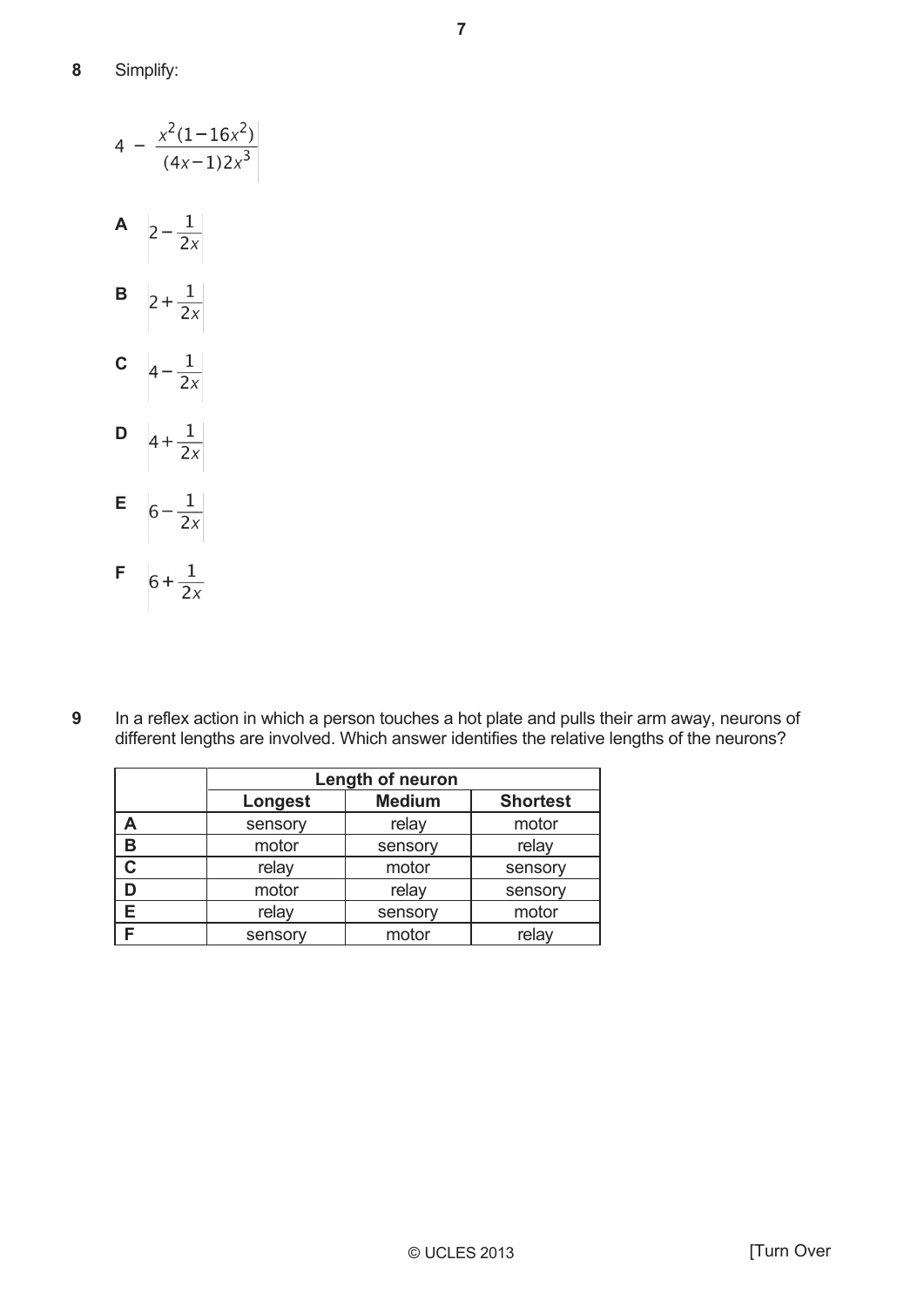|             | $4 - \frac{x^2(1-16x^2)}{(4x-1)2x^3}$ |
|-------------|---------------------------------------|
| Α           | $2 - \frac{1}{2x}$                    |
| B           | $2 + \frac{1}{2x}$                    |
| $\mathbf c$ | $4 - \frac{1}{2x}$                    |
| D           | $4 + \frac{1}{2x}$                    |
| Ε           | $6 - \frac{1}{2x}$                    |
| F           | $6 + \frac{1}{2x}$                    |

In a reflex action in which a person touches a hot plate and pulls their arm away, neurons of different lengths are involved. Which answer identifies the relative lengths of the neurons? **9**

|   | Length of neuron |               |                 |  |  |
|---|------------------|---------------|-----------------|--|--|
|   | Longest          | <b>Medium</b> | <b>Shortest</b> |  |  |
|   | sensory          | relay         | motor           |  |  |
| В | motor            | sensory       | relay           |  |  |
| C | relay            | motor         | sensory         |  |  |
|   | motor            | relay         | sensory         |  |  |
|   | relay            | sensory       | motor           |  |  |
|   | sensory          | motor         | relay           |  |  |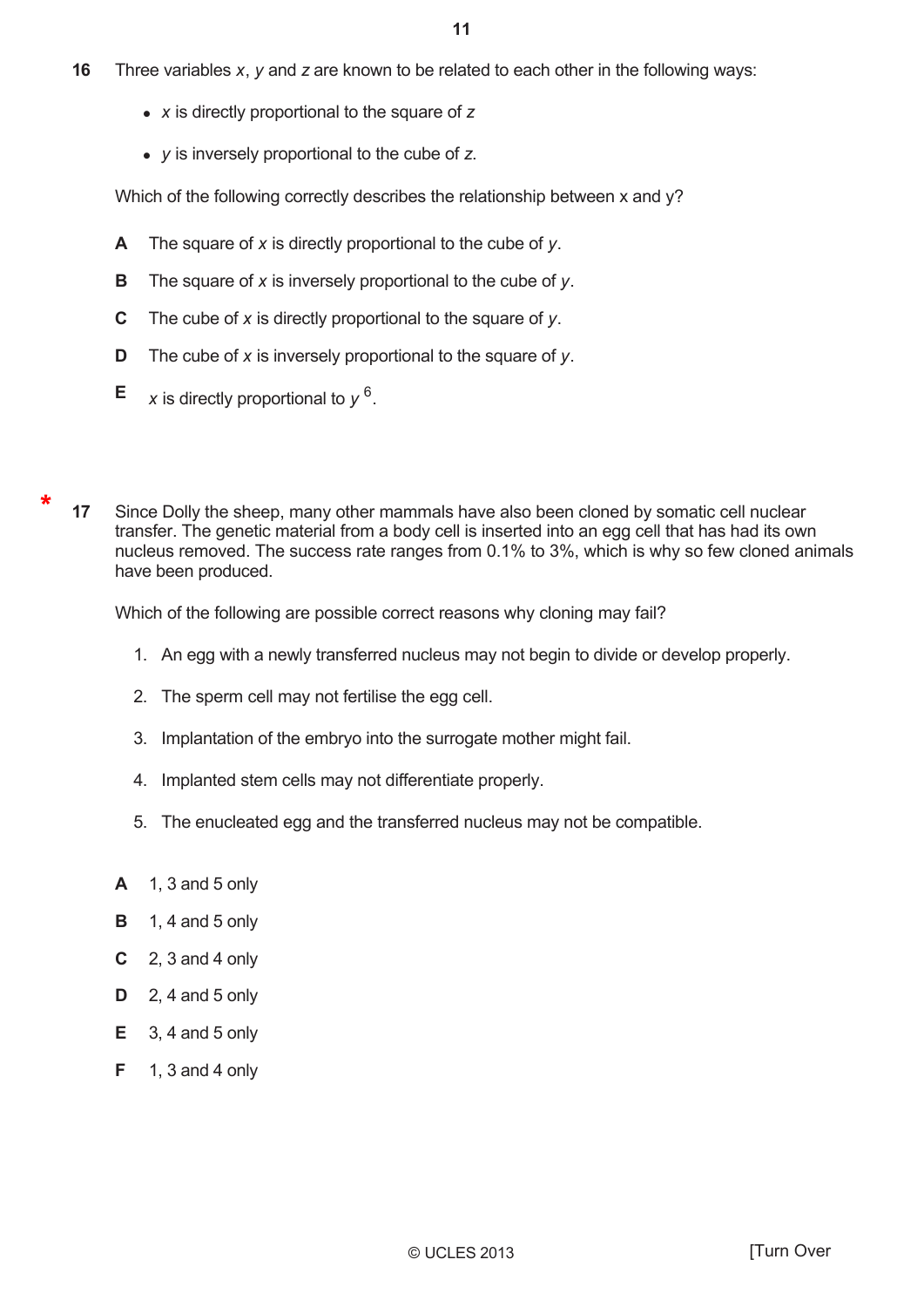- 16 Three variables  $x$ ,  $y$  and  $z$  are known to be related to each other in the following ways:
	- $x$  is directly proportional to the square of  $z$
	- $\bullet$  y is inversely proportional to the cube of z.

Which of the following correctly describes the relationship between x and y?

- A The square of  $x$  is directly proportional to the cube of  $y$ .
- The square of  $x$  is inversely proportional to the cube of  $y$ . B
- $\mathbf C$ The cube of x is directly proportional to the square of  $y$ .
- D The cube of  $x$  is inversely proportional to the square of  $y$ .
- Е x is directly proportional to  $y^6$ .

 $17$ Since Dolly the sheep, many other mammals have also been cloned by somatic cell nuclear transfer. The genetic material from a body cell is inserted into an egg cell that has had its own nucleus removed. The success rate ranges from 0.1% to 3%, which is why so few cloned animals have been produced.

Which of the following are possible correct reasons why cloning may fail?

- 1. An egg with a newly transferred nucleus may not begin to divide or develop properly.
- 2. The sperm cell may not fertilise the egg cell.
- 3. Implantation of the embryo into the surrogate mother might fail.
- 4. Implanted stem cells may not differentiate properly.
- 5. The enucleated egg and the transferred nucleus may not be compatible.
- $A = 1, 3$  and 5 only
- B 1, 4 and 5 only
- $C = 2$ , 3 and 4 only
- $D = 2$ , 4 and 5 only
- $E = 3$ , 4 and 5 only
- $F = 1$ , 3 and 4 only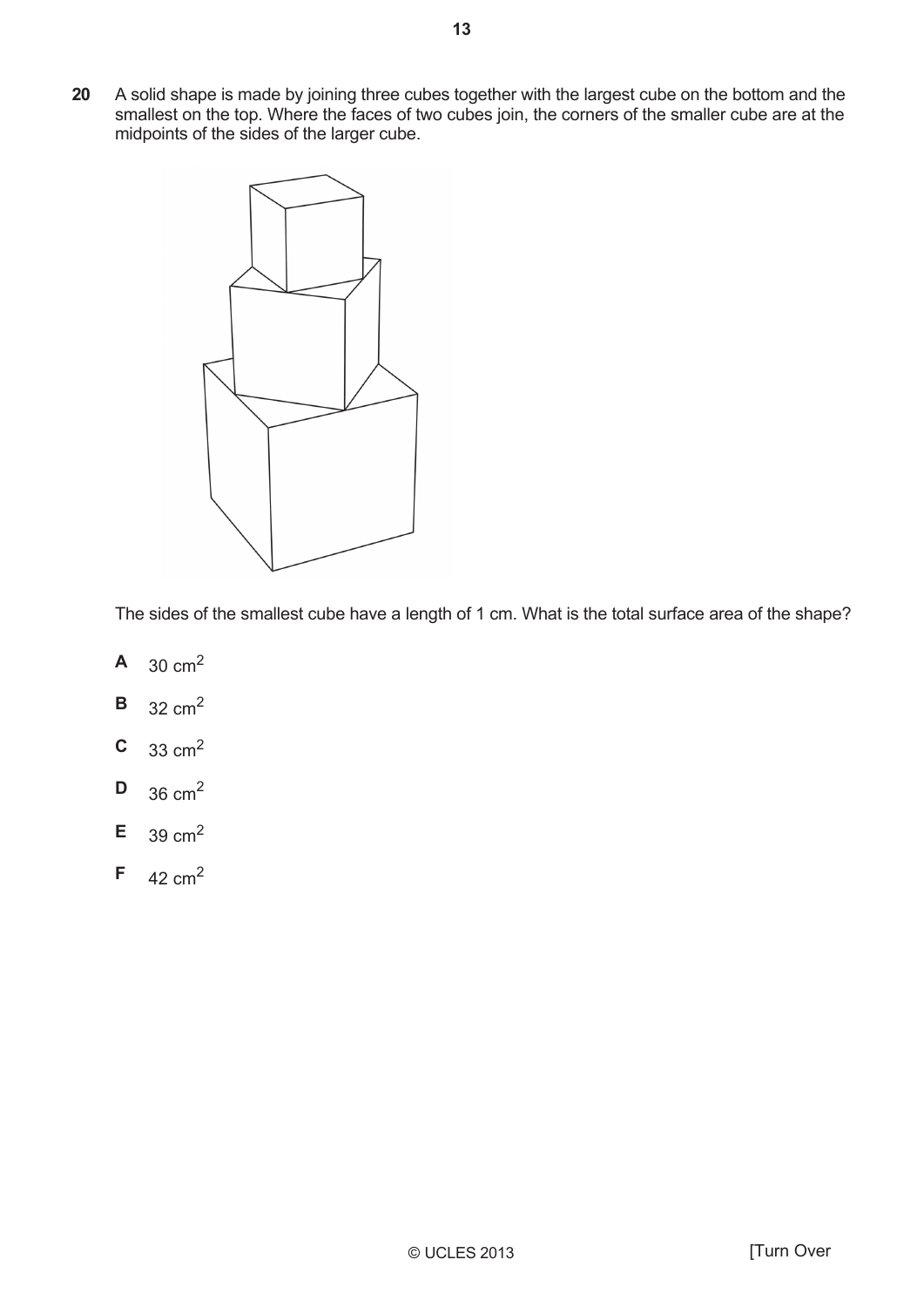A solid shape is made by joining three cubes together with the largest cube on the bottom and the smallest on the top. Where the faces of two cubes join, the corners of the smaller cube are at the 20 midpoints of the sides of the larger cube.



The sides of the smallest cube have a length of 1 cm. What is the total surface area of the shape?

- $30 \text{ cm}^2$  $\mathbf{A}$
- $\mathbf B$  $32 \text{ cm}^2$
- $\mathbf C$  $33 \text{ cm}^2$
- D  $36 \text{ cm}^2$
- $39 \text{ cm}^2$ E
- F 42  $cm<sup>2</sup>$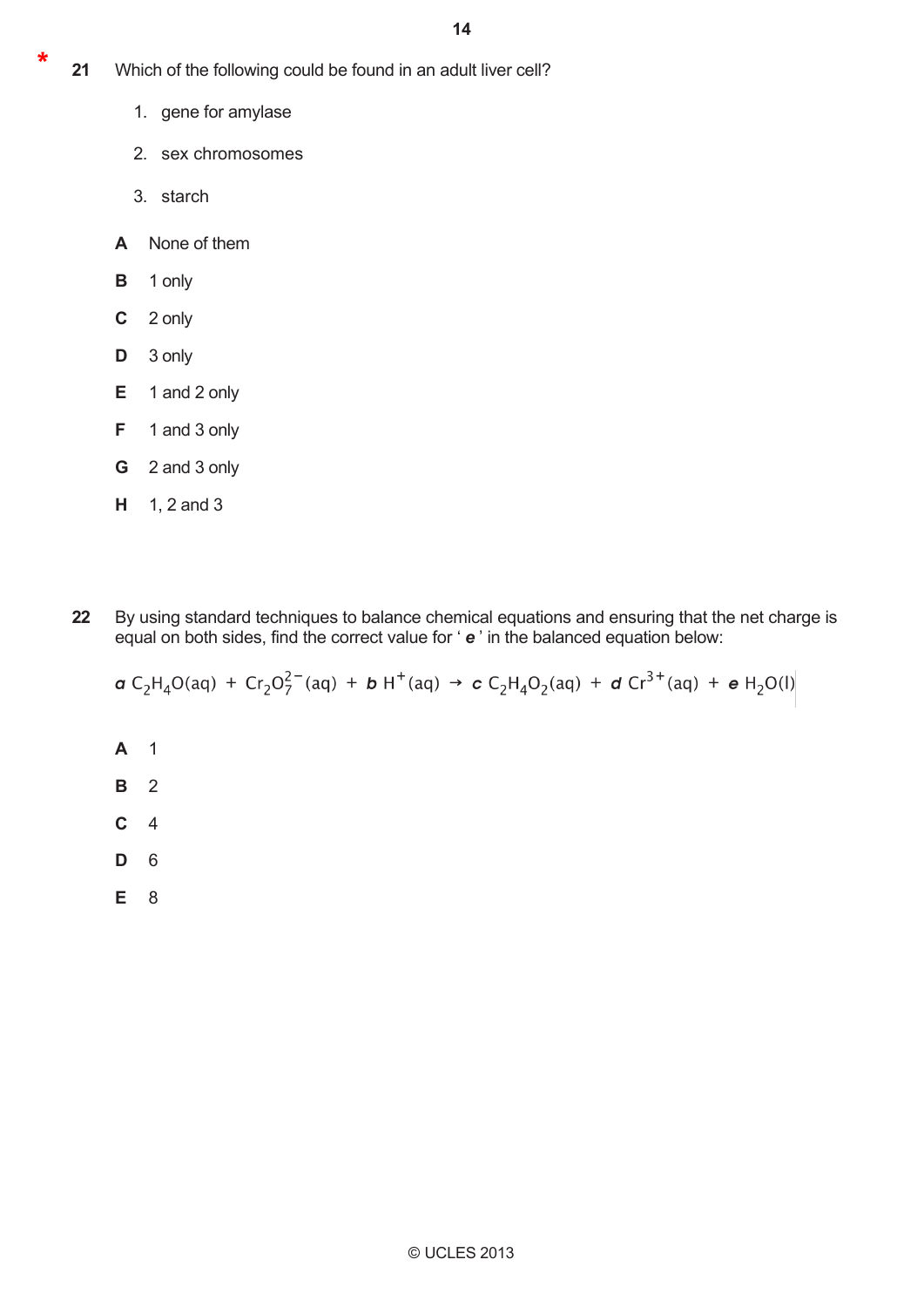- $21$ Which of the following could be found in an adult liver cell?
	- 1. gene for amylase
	- 2. sex chromosomes
	- 3. starch
	- A None of them
	- $\mathbf{B}$ 1 only
	- $\mathbf{C}$ 2 only
	- D 3 only
	- $E$  1 and 2 only
	- F. 1 and 3 only
	- G 2 and 3 only
	- $H = 1, 2$  and 3
	- By using standard techniques to balance chemical equations and ensuring that the net charge is equal on both sides, find the correct value for 'e' in the balanced equation below: 22

**a** C<sub>2</sub>H<sub>4</sub>O(aq) + Cr<sub>2</sub>O<sub>7</sub><sup>2</sup> aq) + **b** H<sup>+</sup>(aq) → **c** C<sub>2</sub>H<sub>4</sub>O<sub>2</sub>(aq) + **d** Cr<sup>3+</sup>(aq) + **e** H<sub>2</sub>O(l)

- $\overline{1}$  $\mathsf{A}$
- $\mathbf{B}$  $\overline{2}$
- $\mathbf{C}$  $\overline{4}$
- D 6
- E 8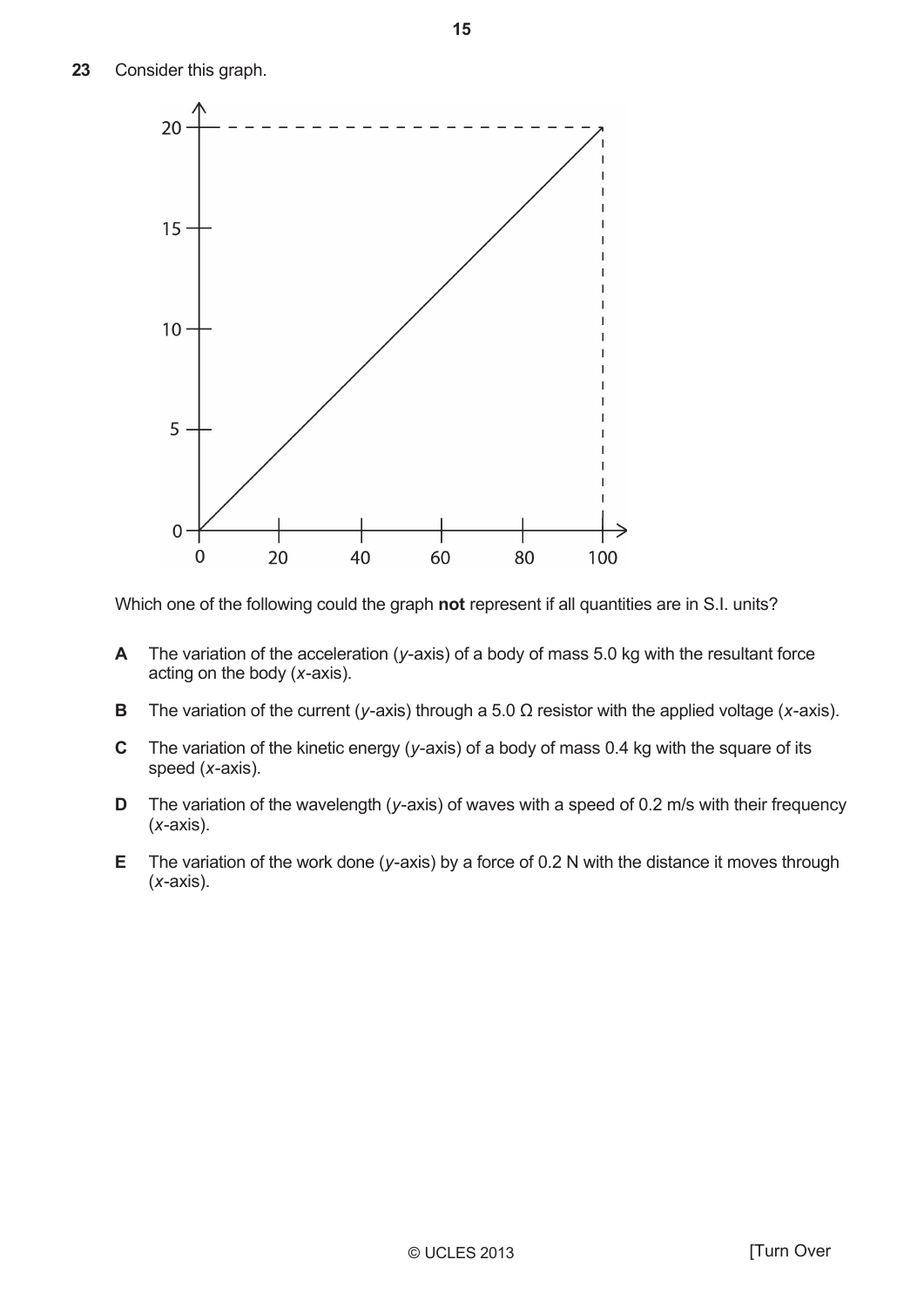23 Consider this graph.



Which one of the following could the graph not represent if all quantities are in S.I. units?

- A The variation of the acceleration ( $y$ -axis) of a body of mass 5.0 kg with the resultant force acting on the body  $(x-axis)$ .
- B The variation of the current (y-axis) through a 5.0  $\Omega$  resistor with the applied voltage (x-axis).
- $\mathbf C$ The variation of the kinetic energy ( $y$ -axis) of a body of mass 0.4 kg with the square of its speed (x-axis).
- The variation of the wavelength ( $y$ -axis) of waves with a speed of 0.2 m/s with their frequency D  $(x-axis)$ .
- Е. The variation of the work done ( $y$ -axis) by a force of 0.2 N with the distance it moves through  $(x-axis)$ .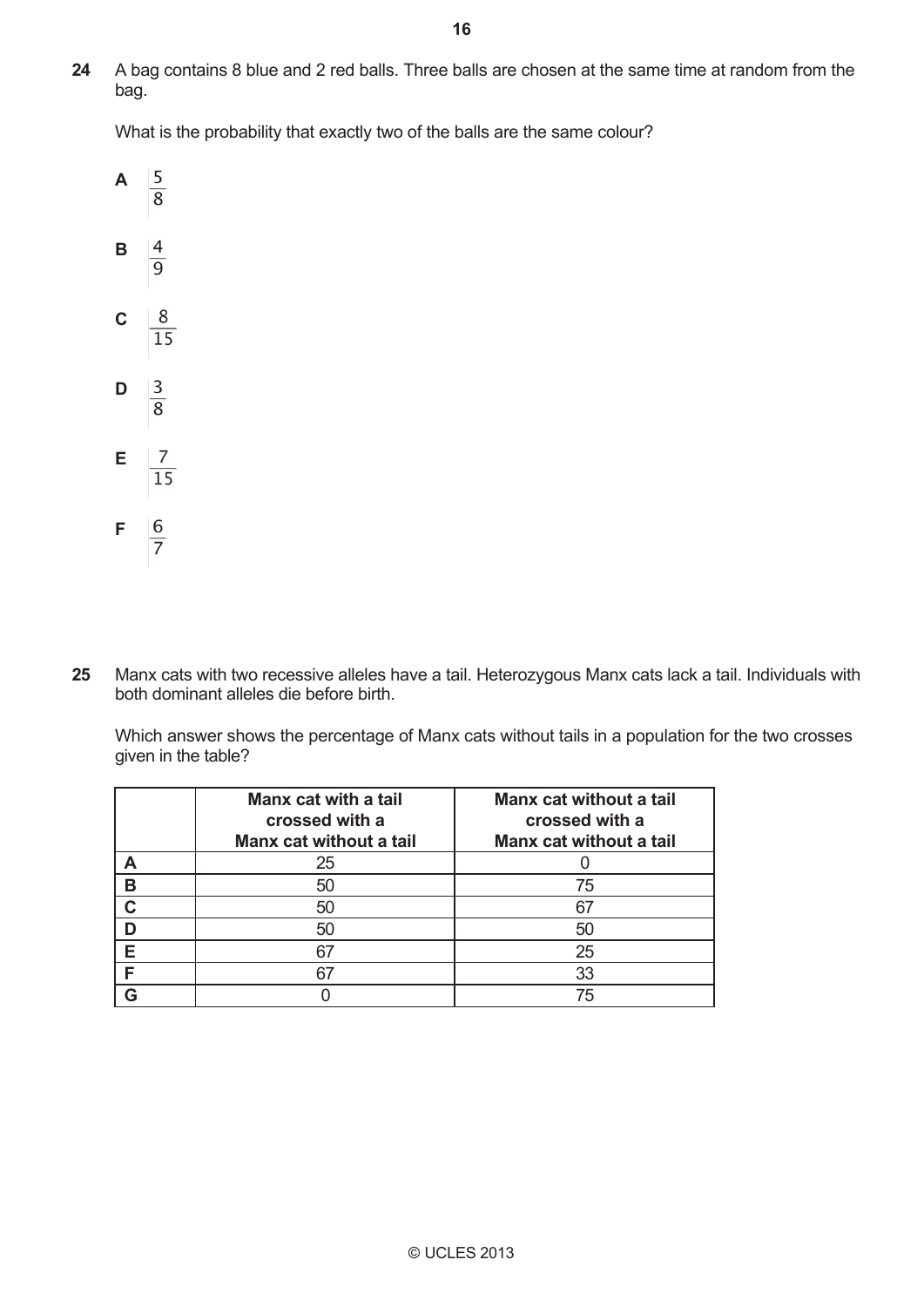A bag contains 8 blue and 2 red balls. Three balls are chosen at the same time at random from the bag. **24** 

What is the probability that exactly two of the balls are the same colour?



Manx cats with two recessive alleles have a tail. Heterozygous Manx cats lack a tail. Individuals with both dominant alleles die before birth. **25**

Which answer shows the percentage of Manx cats without tails in a population for the two crosses given in the table?

|   | Manx cat with a tail<br>crossed with a<br>Manx cat without a tail | Manx cat without a tail<br>crossed with a<br>Manx cat without a tail |
|---|-------------------------------------------------------------------|----------------------------------------------------------------------|
|   | 25                                                                |                                                                      |
| В | 50                                                                | 75                                                                   |
| C | 50                                                                | 67                                                                   |
|   | 50                                                                | 50                                                                   |
| F | 67                                                                | 25                                                                   |
| E | 67                                                                | 33                                                                   |
|   |                                                                   | 75                                                                   |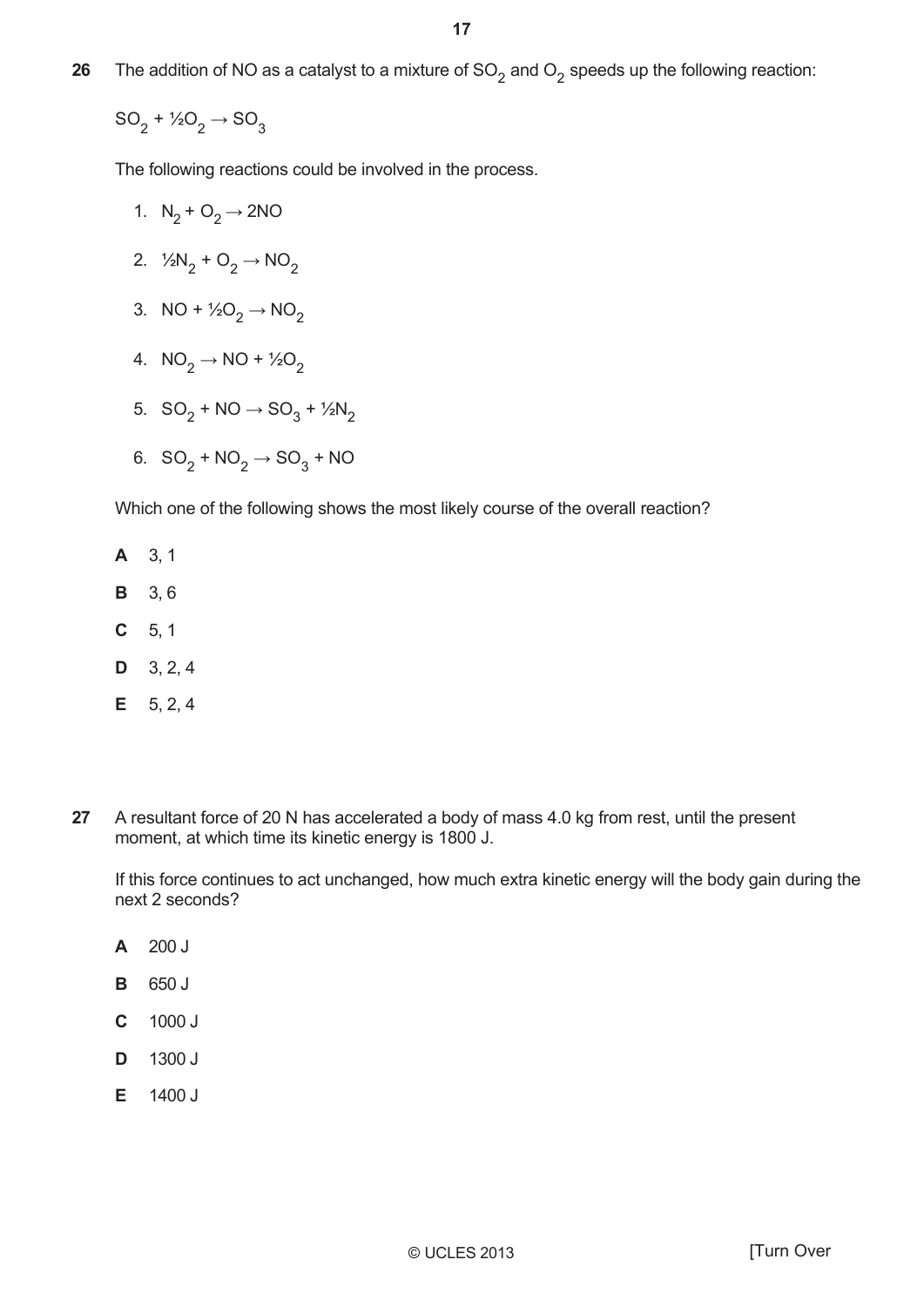26 The addition of NO as a catalyst to a mixture of  $SO_2$  and  $O_2$  speeds up the following reaction:

 $SO_2 + \frac{1}{2}O_2 \rightarrow SO_3$ 

The following reactions could be involved in the process.

- 1.  $N_2 + O_2 \rightarrow 2NO$
- 2.  $\frac{1}{2}N_2 + O_2 \rightarrow NO_2$
- 3. NO +  $\frac{1}{2}O_2 \rightarrow NO_2$
- 4.  $NO_2 \rightarrow NO + \frac{1}{2}O_2$
- 5.  $SO_2 + NO \rightarrow SO_3 + \frac{1}{2}N_2$
- 6.  $SO_2 + NO_2 \rightarrow SO_3 + NO$

Which one of the following shows the most likely course of the overall reaction?

- A 3, 1
- **B** 3.6
- $C = 5, 1$
- $D$  3, 2, 4
- $E = 5, 2, 4$
- 27 A resultant force of 20 N has accelerated a body of mass 4.0 kg from rest, until the present moment, at which time its kinetic energy is 1800 J.

If this force continues to act unchanged, how much extra kinetic energy will the body gain during the next 2 seconds?

- $200J$ A
- B 650 J
- $\mathbf C$ 1000 J
- D 1300 J
- E 1400 J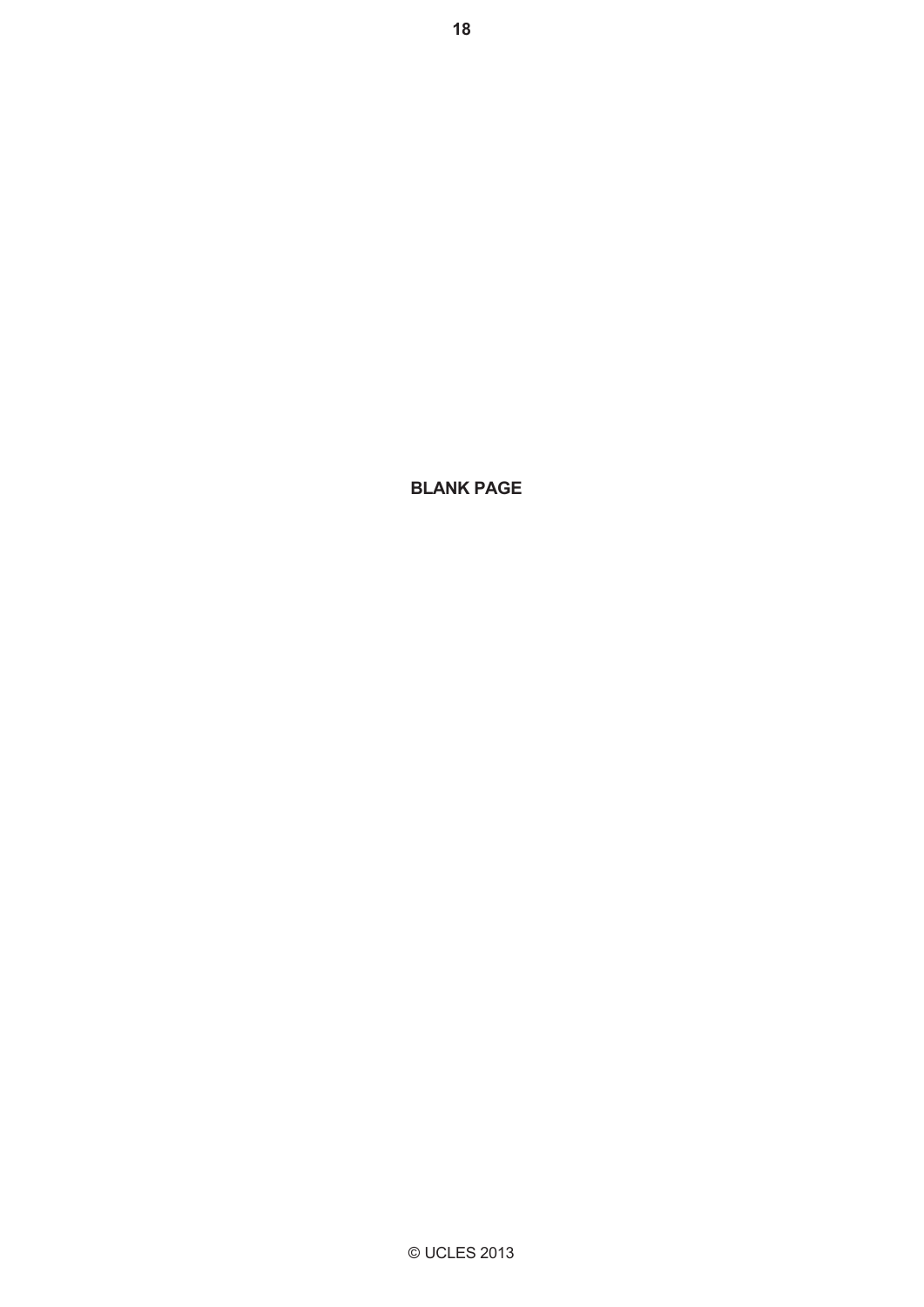© UCLES 2013